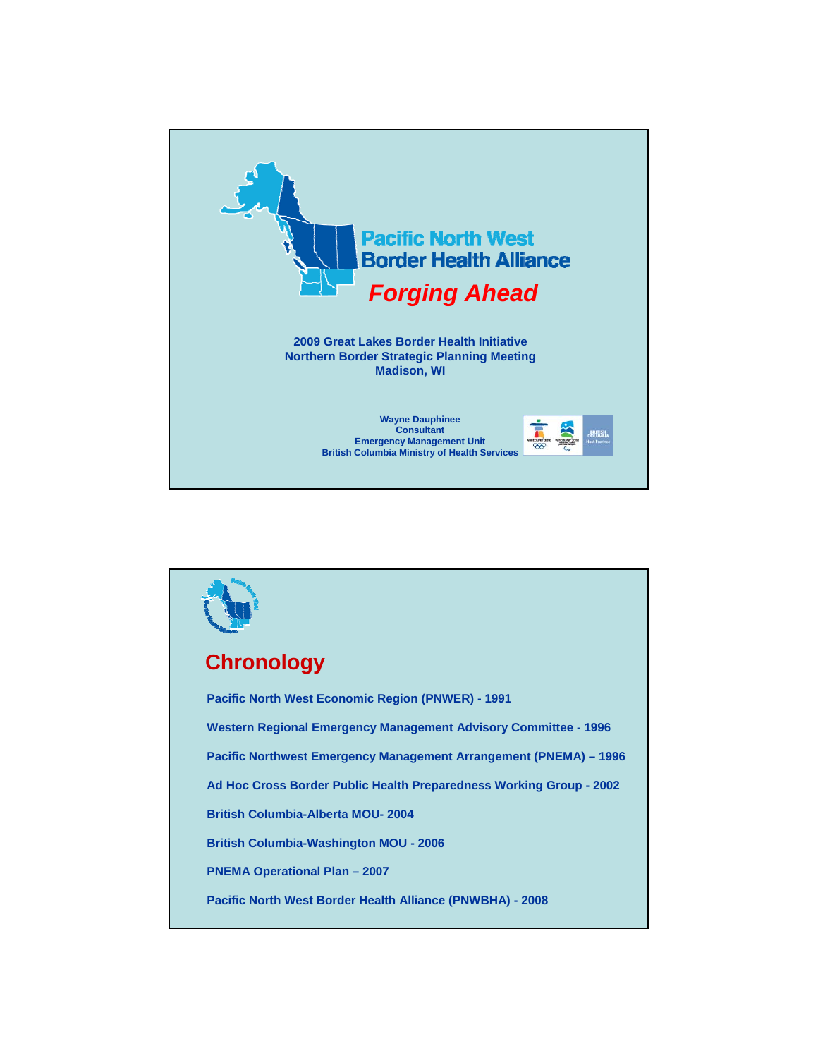

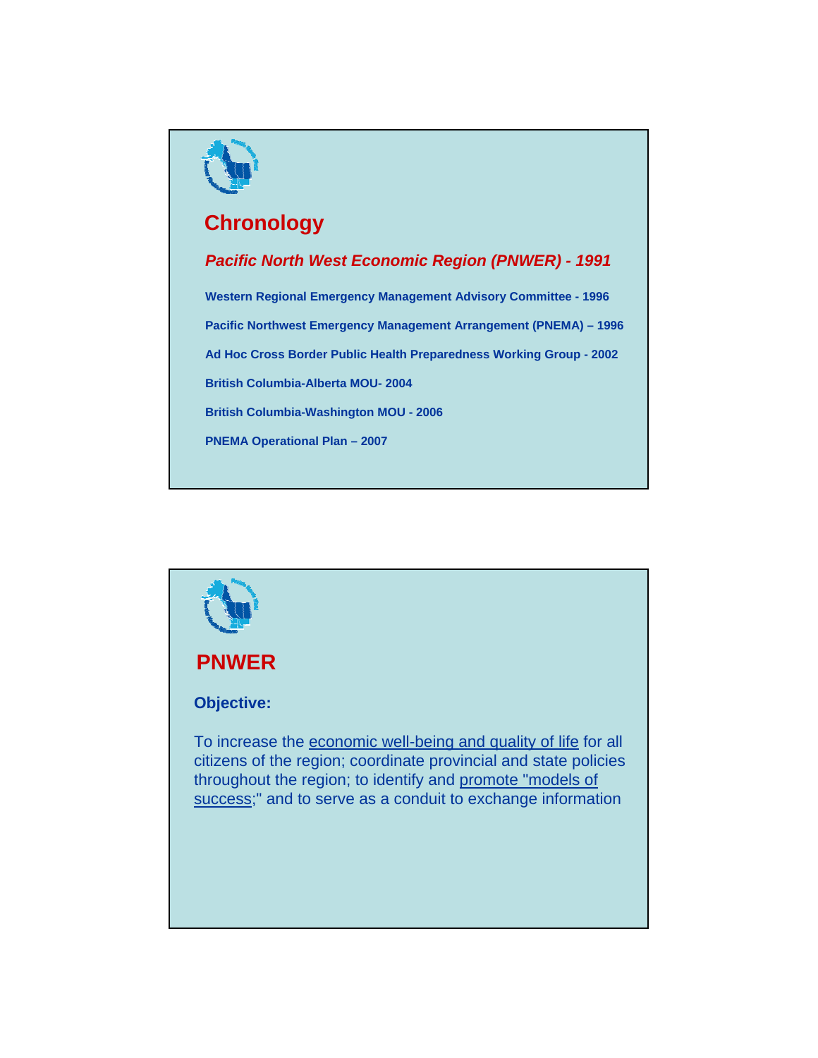

# **Chronology**

*Pacific North West Economic Region (PNWER) - 1991*

**Western Regional Emergency Management Advisory Committee - 1996 Pacific Northwest Emergency Management Arrangement (PNEMA) – 1996 Ad Hoc Cross Border Public Health Preparedness Working Group - 2002 British Columbia-Alberta MOU- 2004 British Columbia-Washington MOU - 2006**

**PNEMA Operational Plan – 2007**

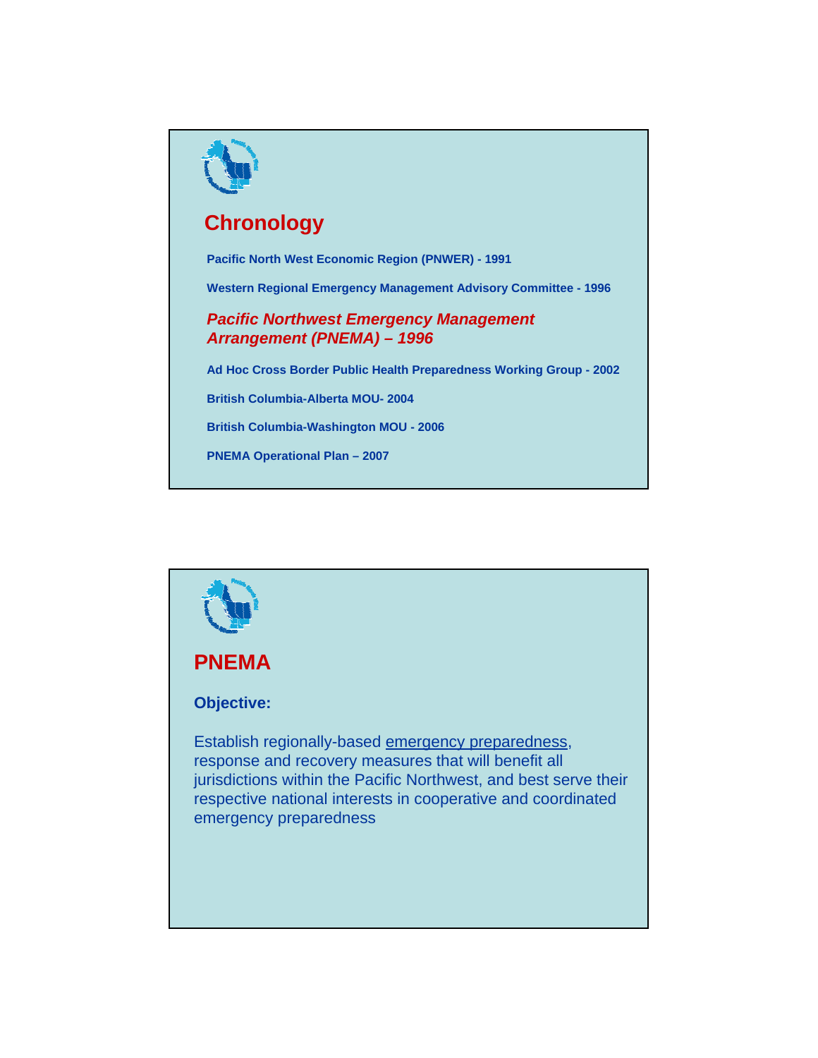

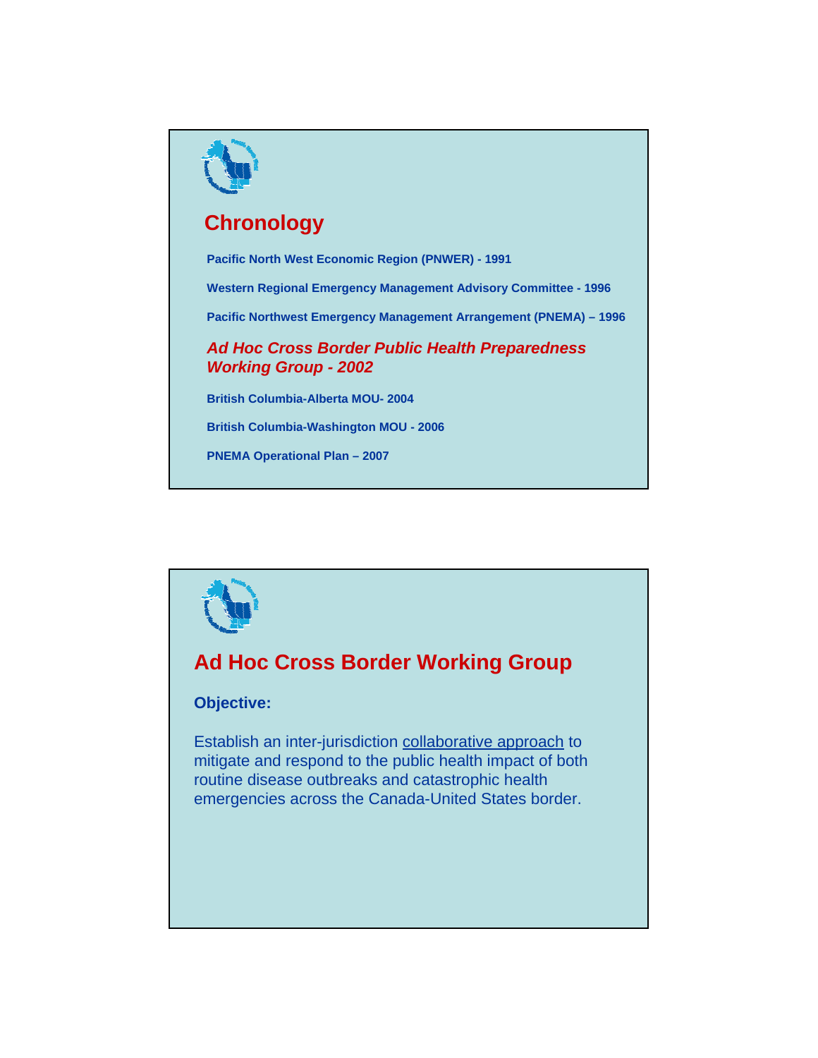



## **Ad Hoc Cross Border Working Group**

## **Objective:**

Establish an inter-jurisdiction collaborative approach to mitigate and respond to the public health impact of both routine disease outbreaks and catastrophic health emergencies across the Canada-United States border.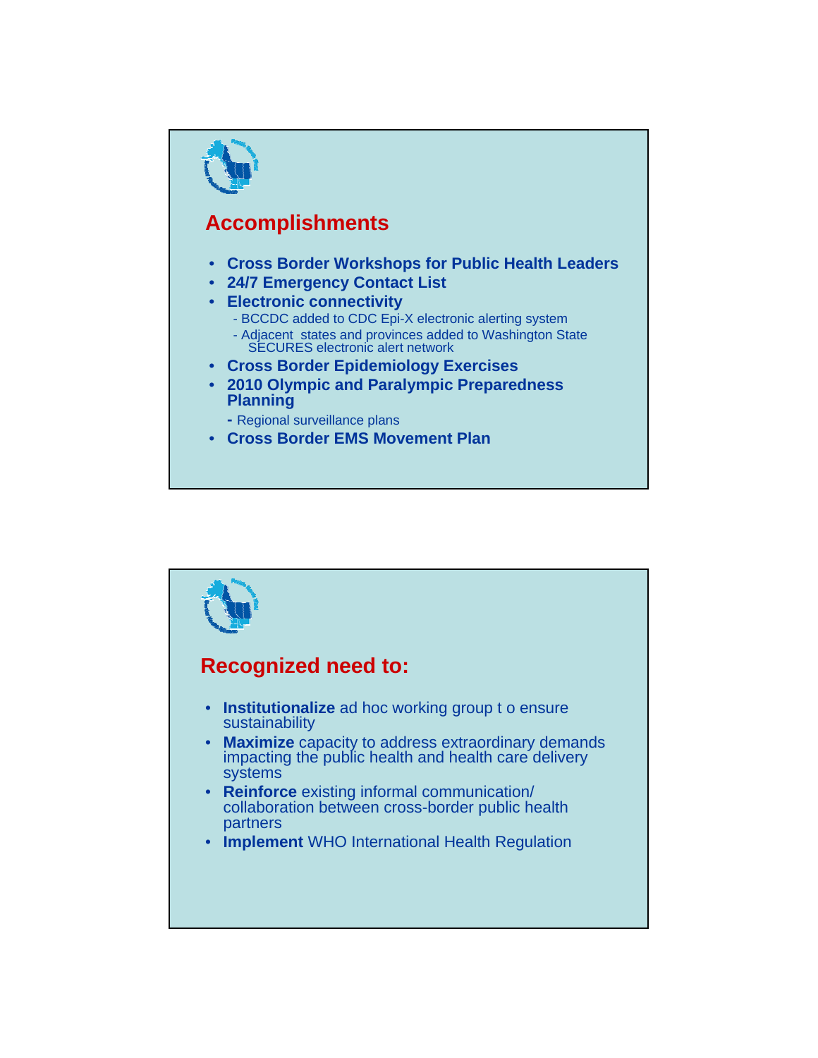

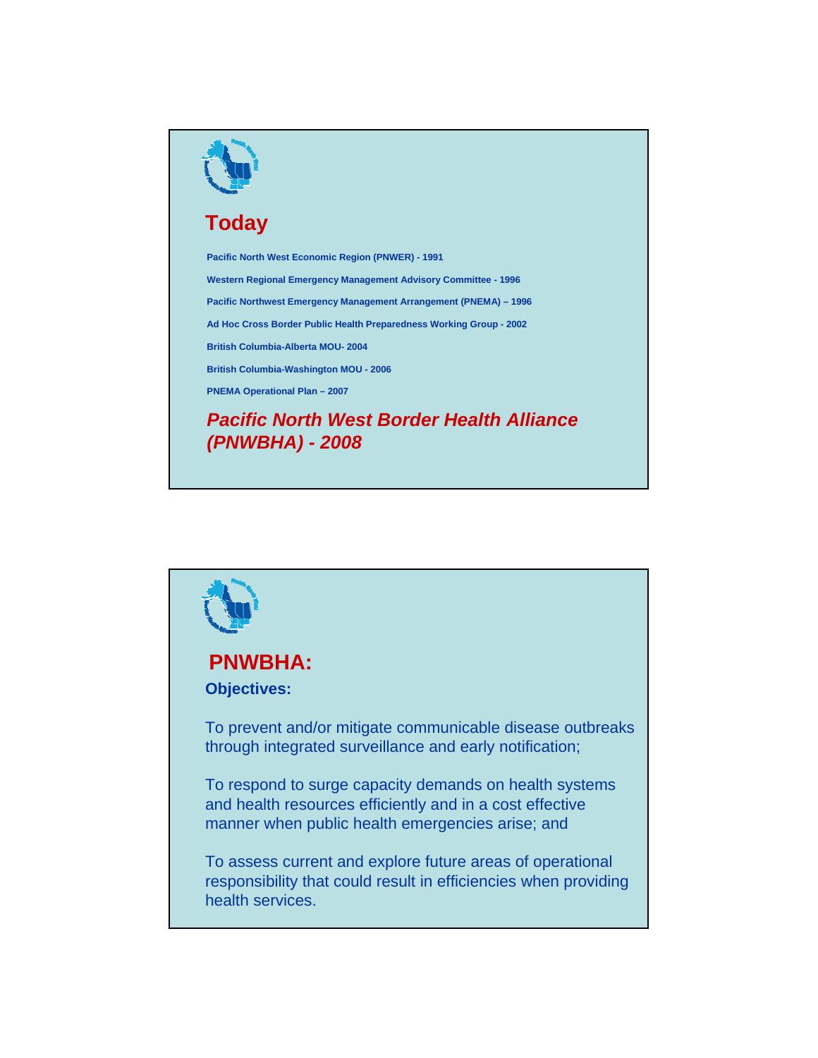

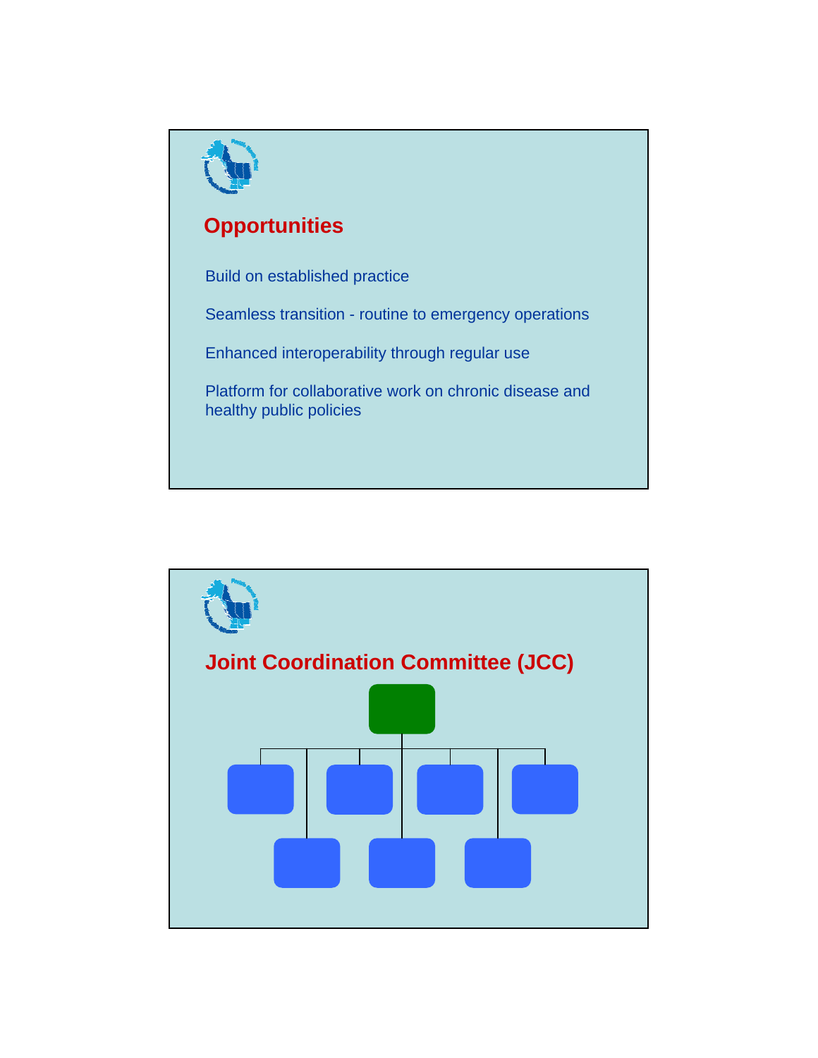

**Joint Coordination Committee (JCC)**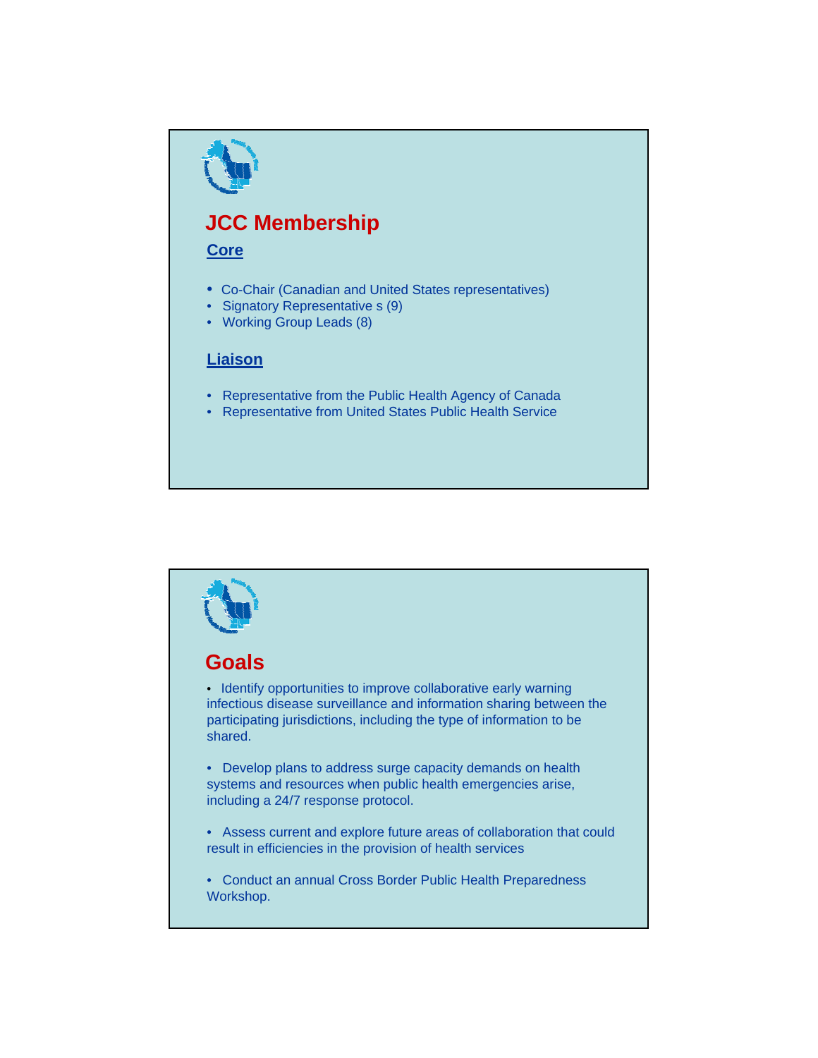# **JCC Membership**

#### **Core**

- Co-Chair (Canadian and United States representatives)
- Signatory Representative s (9)
- Working Group Leads (8)

## **Liaison**

- Representative from the Public Health Agency of Canada
- Representative from United States Public Health Service

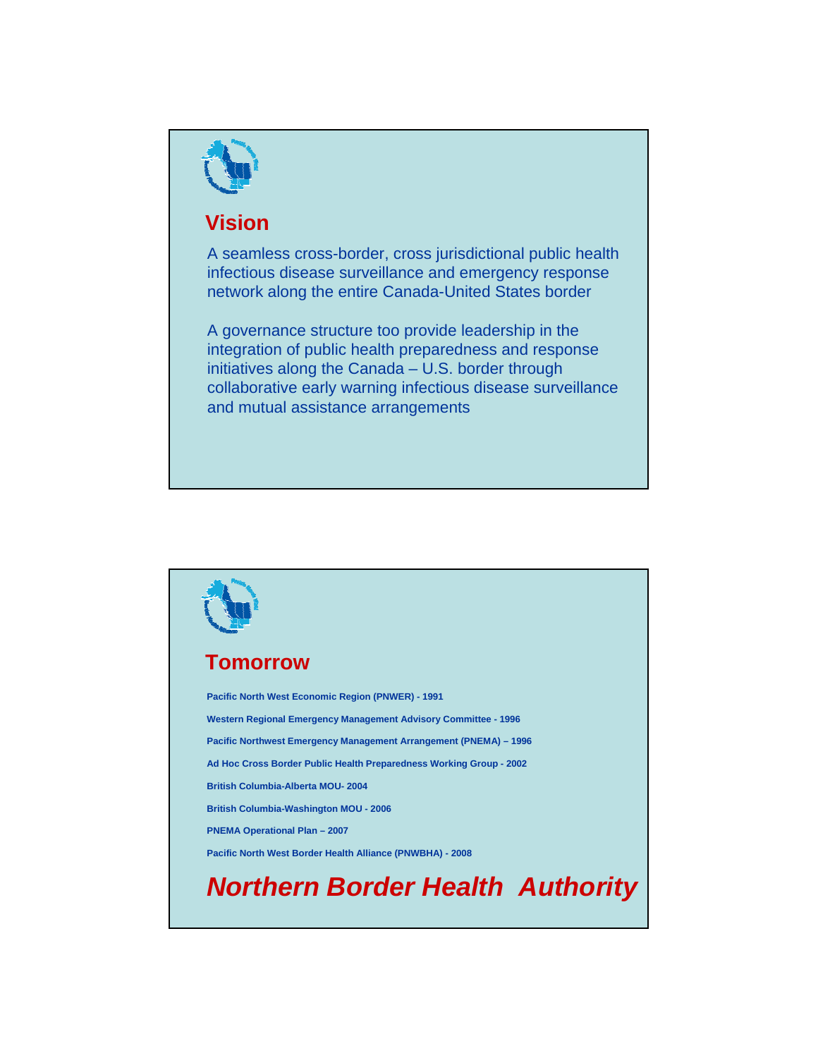

## **Vision**

A seamless cross-border, cross jurisdictional public health infectious disease surveillance and emergency response network along the entire Canada-United States border

A governance structure too provide leadership in the integration of public health preparedness and response initiatives along the Canada – U.S. border through collaborative early warning infectious disease surveillance and mutual assistance arrangements

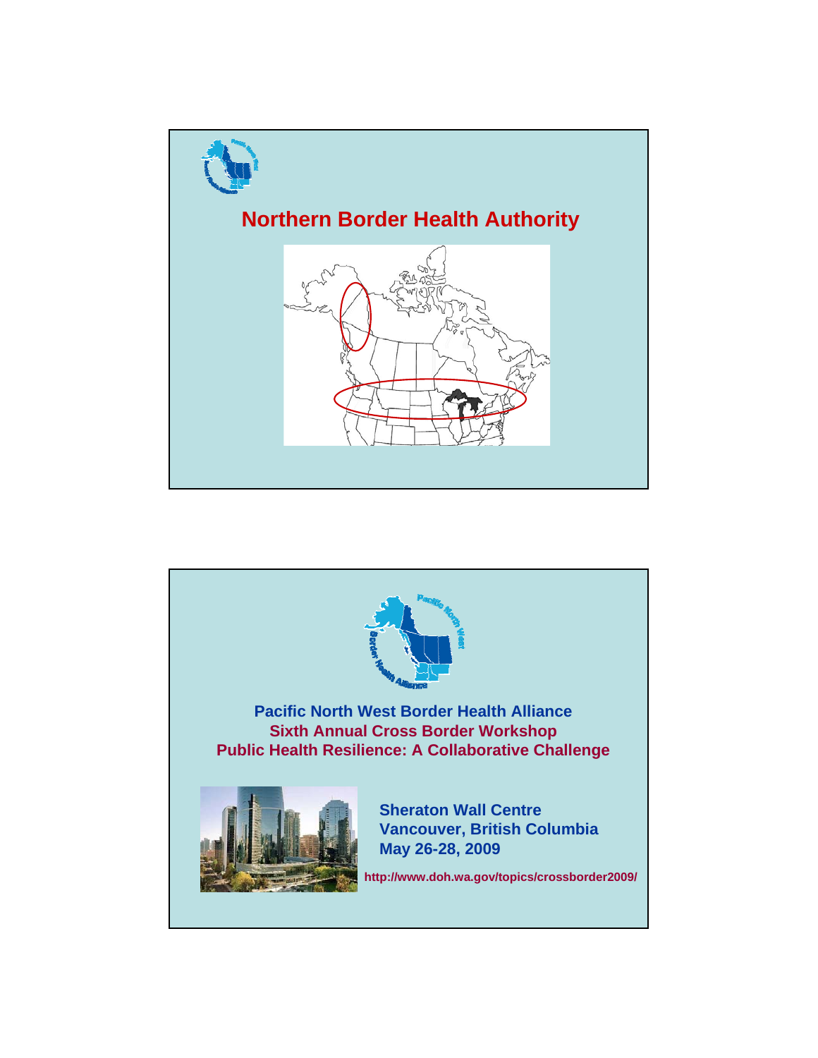